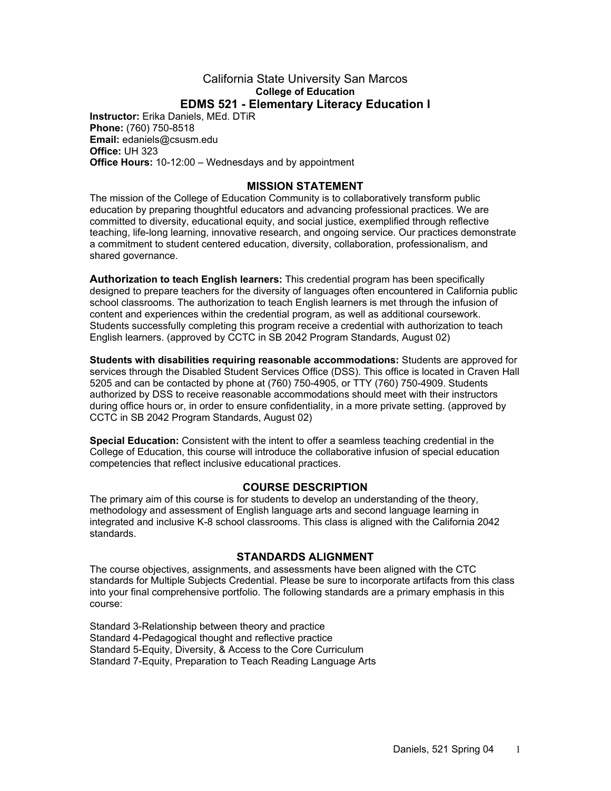#### California State University San Marcos **College of Education EDMS 521 - Elementary Literacy Education I**

**Instructor:** Erika Daniels, MEd. DTiR **Phone:** (760) 750-8518 **Email:** edaniels@csusm.edu **Office:** UH 323 **Office Hours:** 10-12:00 – Wednesdays and by appointment

### **MISSION STATEMENT**

The mission of the College of Education Community is to collaboratively transform public education by preparing thoughtful educators and advancing professional practices. We are committed to diversity, educational equity, and social justice, exemplified through reflective teaching, life-long learning, innovative research, and ongoing service. Our practices demonstrate a commitment to student centered education, diversity, collaboration, professionalism, and shared governance.

**Authorization to teach English learners:** This credential program has been specifically designed to prepare teachers for the diversity of languages often encountered in California public school classrooms. The authorization to teach English learners is met through the infusion of content and experiences within the credential program, as well as additional coursework. Students successfully completing this program receive a credential with authorization to teach English learners. (approved by CCTC in SB 2042 Program Standards, August 02)

**Students with disabilities requiring reasonable accommodations:** Students are approved for services through the Disabled Student Services Office (DSS). This office is located in Craven Hall 5205 and can be contacted by phone at (760) 750-4905, or TTY (760) 750-4909. Students authorized by DSS to receive reasonable accommodations should meet with their instructors during office hours or, in order to ensure confidentiality, in a more private setting. (approved by CCTC in SB 2042 Program Standards, August 02)

**Special Education:** Consistent with the intent to offer a seamless teaching credential in the College of Education, this course will introduce the collaborative infusion of special education competencies that reflect inclusive educational practices.

### **COURSE DESCRIPTION**

The primary aim of this course is for students to develop an understanding of the theory, methodology and assessment of English language arts and second language learning in integrated and inclusive K-8 school classrooms. This class is aligned with the California 2042 standards.

#### **STANDARDS ALIGNMENT**

The course objectives, assignments, and assessments have been aligned with the CTC standards for Multiple Subjects Credential. Please be sure to incorporate artifacts from this class into your final comprehensive portfolio. The following standards are a primary emphasis in this course:

Standard 3-Relationship between theory and practice Standard 4-Pedagogical thought and reflective practice Standard 5-Equity, Diversity, & Access to the Core Curriculum Standard 7-Equity, Preparation to Teach Reading Language Arts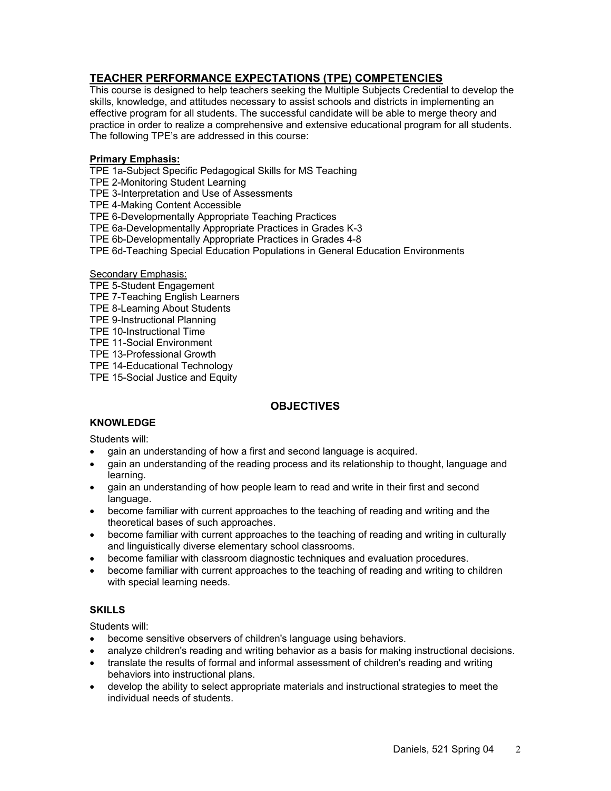## **TEACHER PERFORMANCE EXPECTATIONS (TPE) COMPETENCIES**

This course is designed to help teachers seeking the Multiple Subjects Credential to develop the skills, knowledge, and attitudes necessary to assist schools and districts in implementing an effective program for all students. The successful candidate will be able to merge theory and practice in order to realize a comprehensive and extensive educational program for all students. The following TPE's are addressed in this course:

#### **Primary Emphasis:**

TPE 1a-Subject Specific Pedagogical Skills for MS Teaching

TPE 2-Monitoring Student Learning

TPE 3-Interpretation and Use of Assessments

TPE 4-Making Content Accessible

TPE 6-Developmentally Appropriate Teaching Practices

TPE 6a-Developmentally Appropriate Practices in Grades K-3

TPE 6b-Developmentally Appropriate Practices in Grades 4-8

TPE 6d-Teaching Special Education Populations in General Education Environments

#### Secondary Emphasis:

- TPE 5-Student Engagement
- TPE 7-Teaching English Learners
- TPE 8-Learning About Students
- TPE 9-Instructional Planning
- TPE 10-Instructional Time
- TPE 11-Social Environment
- TPE 13-Professional Growth

TPE 14-Educational Technology

TPE 15-Social Justice and Equity

### **OBJECTIVES**

### **KNOWLEDGE**

Students will:

- gain an understanding of how a first and second language is acquired.
- gain an understanding of the reading process and its relationship to thought, language and learning.
- gain an understanding of how people learn to read and write in their first and second language.
- become familiar with current approaches to the teaching of reading and writing and the theoretical bases of such approaches.
- become familiar with current approaches to the teaching of reading and writing in culturally and linguistically diverse elementary school classrooms.
- become familiar with classroom diagnostic techniques and evaluation procedures.
- become familiar with current approaches to the teaching of reading and writing to children with special learning needs.

#### **SKILLS**

Students will:

- become sensitive observers of children's language using behaviors.
- analyze children's reading and writing behavior as a basis for making instructional decisions.
- translate the results of formal and informal assessment of children's reading and writing behaviors into instructional plans.
- develop the ability to select appropriate materials and instructional strategies to meet the individual needs of students.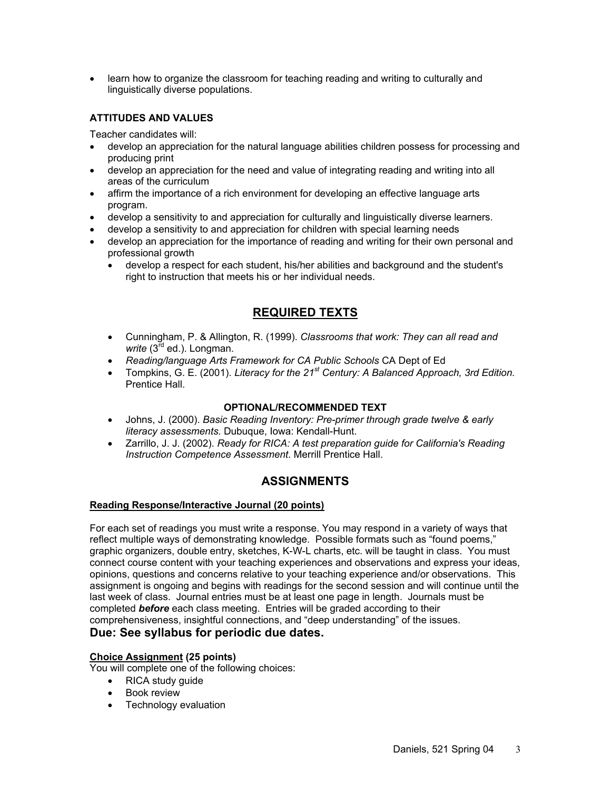• learn how to organize the classroom for teaching reading and writing to culturally and linguistically diverse populations.

### **ATTITUDES AND VALUES**

Teacher candidates will:

- develop an appreciation for the natural language abilities children possess for processing and producing print
- develop an appreciation for the need and value of integrating reading and writing into all areas of the curriculum
- affirm the importance of a rich environment for developing an effective language arts program.
- develop a sensitivity to and appreciation for culturally and linguistically diverse learners.
- develop a sensitivity to and appreciation for children with special learning needs
- develop an appreciation for the importance of reading and writing for their own personal and professional growth
	- develop a respect for each student, his/her abilities and background and the student's right to instruction that meets his or her individual needs.

# **REQUIRED TEXTS**

- Cunningham, P. & Allington, R. (1999). *Classrooms that work: They can all read and*  write (3<sup>rd</sup> ed.). Longman.
- *Reading/language Arts Framework for CA Public Schools* CA Dept of Ed
- Tompkins, G. E. (2001). *Literacy for the 21st Century: A Balanced Approach, 3rd Edition.* Prentice Hall.

### **OPTIONAL/RECOMMENDED TEXT**

- Johns, J. (2000). *Basic Reading Inventory: Pre-primer through grade twelve & early literacy assessments.* Dubuque, Iowa: Kendall-Hunt.
- Zarrillo, J. J. (2002). *Ready for RICA: A test preparation guide for California's Reading Instruction Competence Assessment*. Merrill Prentice Hall.

# **ASSIGNMENTS**

### **Reading Response/Interactive Journal (20 points)**

For each set of readings you must write a response. You may respond in a variety of ways that reflect multiple ways of demonstrating knowledge. Possible formats such as "found poems," graphic organizers, double entry, sketches, K-W-L charts, etc. will be taught in class. You must connect course content with your teaching experiences and observations and express your ideas, opinions, questions and concerns relative to your teaching experience and/or observations. This assignment is ongoing and begins with readings for the second session and will continue until the last week of class. Journal entries must be at least one page in length. Journals must be completed *before* each class meeting. Entries will be graded according to their comprehensiveness, insightful connections, and "deep understanding" of the issues. **Due: See syllabus for periodic due dates.** 

# **Choice Assignment (25 points)**

You will complete one of the following choices:

- RICA study guide
- Book review
- Technology evaluation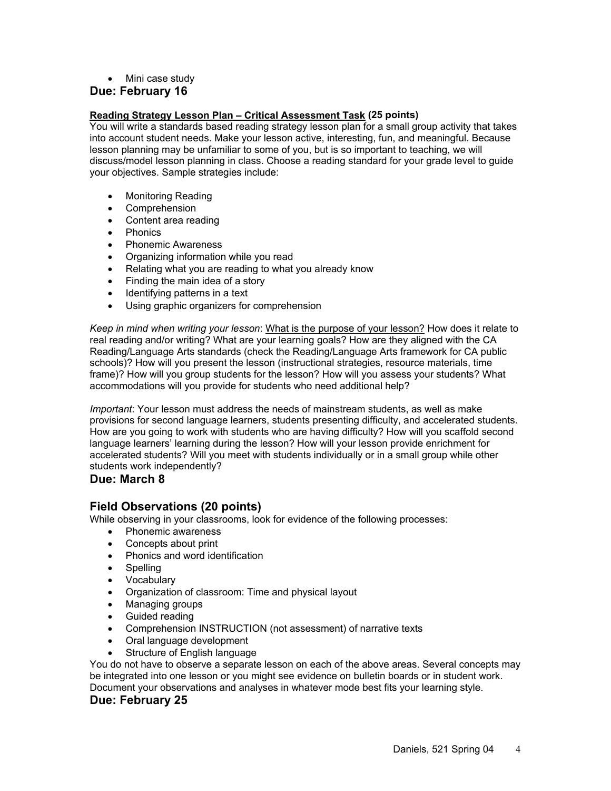• Mini case study

#### **Due: February 16**

#### **Reading Strategy Lesson Plan – Critical Assessment Task (25 points)**

You will write a standards based reading strategy lesson plan for a small group activity that takes into account student needs. Make your lesson active, interesting, fun, and meaningful. Because lesson planning may be unfamiliar to some of you, but is so important to teaching, we will discuss/model lesson planning in class. Choose a reading standard for your grade level to guide your objectives. Sample strategies include:

- Monitoring Reading
- Comprehension
- Content area reading
- Phonics
- Phonemic Awareness
- Organizing information while you read
- Relating what you are reading to what you already know
- Finding the main idea of a story
- Identifying patterns in a text
- Using graphic organizers for comprehension

*Keep in mind when writing your lesson*: What is the purpose of your lesson? How does it relate to real reading and/or writing? What are your learning goals? How are they aligned with the CA Reading/Language Arts standards (check the Reading/Language Arts framework for CA public schools)? How will you present the lesson (instructional strategies, resource materials, time frame)? How will you group students for the lesson? How will you assess your students? What accommodations will you provide for students who need additional help?

*Important*: Your lesson must address the needs of mainstream students, as well as make provisions for second language learners, students presenting difficulty, and accelerated students. How are you going to work with students who are having difficulty? How will you scaffold second language learners' learning during the lesson? How will your lesson provide enrichment for accelerated students? Will you meet with students individually or in a small group while other students work independently?

### **Due: March 8**

# **Field Observations (20 points)**

While observing in your classrooms, look for evidence of the following processes:

- Phonemic awareness
- Concepts about print
- Phonics and word identification
- Spelling
- Vocabulary
- Organization of classroom: Time and physical layout
- Managing groups
- Guided reading
- Comprehension INSTRUCTION (not assessment) of narrative texts
- Oral language development
- Structure of English language

You do not have to observe a separate lesson on each of the above areas. Several concepts may be integrated into one lesson or you might see evidence on bulletin boards or in student work. Document your observations and analyses in whatever mode best fits your learning style.

#### **Due: February 25**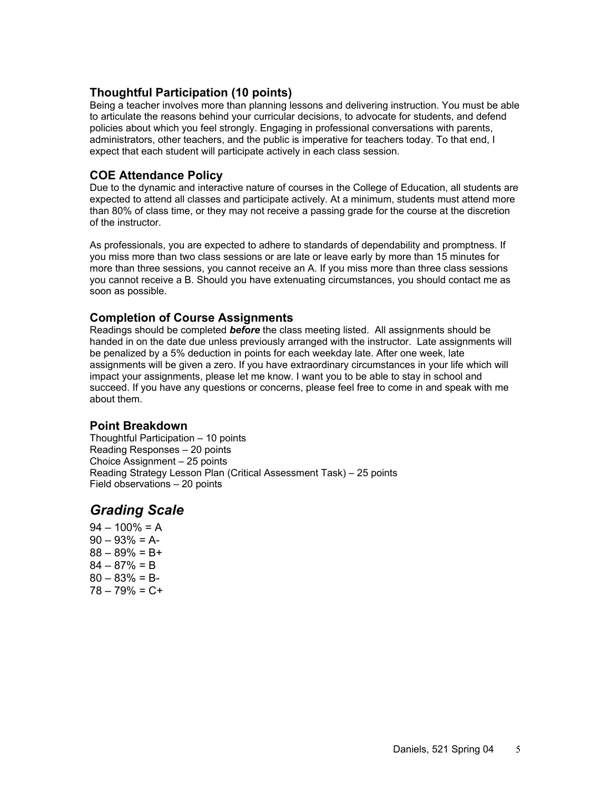# **Thoughtful Participation (10 points)**

Being a teacher involves more than planning lessons and delivering instruction. You must be able to articulate the reasons behind your curricular decisions, to advocate for students, and defend policies about which you feel strongly. Engaging in professional conversations with parents, administrators, other teachers, and the public is imperative for teachers today. To that end, I expect that each student will participate actively in each class session.

# **COE Attendance Policy**

Due to the dynamic and interactive nature of courses in the College of Education, all students are expected to attend all classes and participate actively. At a minimum, students must attend more than 80% of class time, or they may not receive a passing grade for the course at the discretion of the instructor.

As professionals, you are expected to adhere to standards of dependability and promptness. If you miss more than two class sessions or are late or leave early by more than 15 minutes for more than three sessions, you cannot receive an A. If you miss more than three class sessions you cannot receive a B. Should you have extenuating circumstances, you should contact me as soon as possible.

# **Completion of Course Assignments**

Readings should be completed *before* the class meeting listed. All assignments should be handed in on the date due unless previously arranged with the instructor. Late assignments will be penalized by a 5% deduction in points for each weekday late. After one week, late assignments will be given a zero. If you have extraordinary circumstances in your life which will impact your assignments, please let me know. I want you to be able to stay in school and succeed. If you have any questions or concerns, please feel free to come in and speak with me about them.

# **Point Breakdown**

Thoughtful Participation – 10 points Reading Responses – 20 points Choice Assignment – 25 points Reading Strategy Lesson Plan (Critical Assessment Task) – 25 points Field observations – 20 points

# *Grading Scale*

 $94 - 100\% = A$  $90 - 93\% = A$  $88 - 89\% = B +$  $84 - 87% = B$  $80 - 83\% = B$  $78 - 79\% = C +$